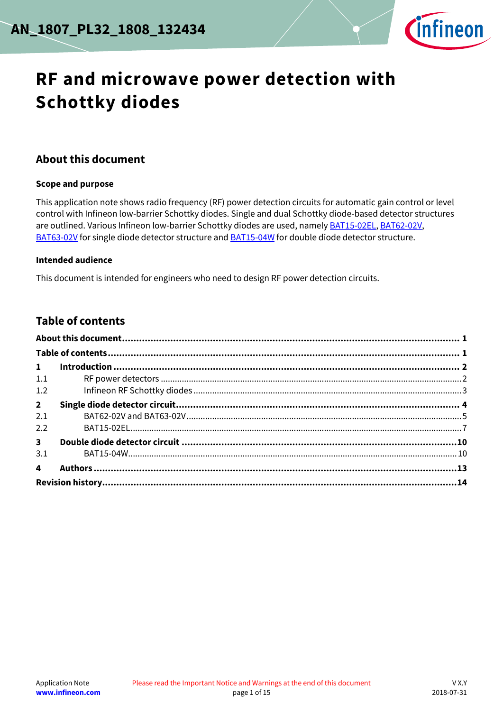

# **RF and microwave power detection with Schottky diodes**

#### <span id="page-0-0"></span>**About this document**

#### **Scope and purpose**

This application note shows radio frequency (RF) power detection circuits for automatic gain control or level control with Infineon low-barrier Schottky diodes. Single and dual Schottky diode-based detector structures are outlined. Various Infineon low-barrier Schottky diodes are used, namely **BAT15-02EL**, [BAT62-02V,](https://www.infineon.com/cms/en/product/rf-wireless-control/rf-diode/rf-mixer-and-detector-schottky-diode/bat62/) [BAT63-02V](https://www.infineon.com/cms/en/product/rf-wireless-control/rf-diode/rf-mixer-and-detector-schottky-diode/bat63-02v/) for single diode detector structure an[d BAT15-04W](https://www.infineon.com/cms/en/product/rf-wireless-control/rf-diode/rf-mixer-and-detector-schottky-diode/bat15-04w/) for double diode detector structure.

#### **Intended audience**

This document is intended for engineers who need to design RF power detection circuits.

### <span id="page-0-1"></span>**Table of contents**

| $\mathbf{1}$            |  |  |  |  |  |
|-------------------------|--|--|--|--|--|
| 1.1                     |  |  |  |  |  |
| 1.2                     |  |  |  |  |  |
| $2^{\circ}$             |  |  |  |  |  |
| 2.1                     |  |  |  |  |  |
| 2.2                     |  |  |  |  |  |
| 3 <sup>7</sup>          |  |  |  |  |  |
| 3.1                     |  |  |  |  |  |
| $\overline{\mathbf{A}}$ |  |  |  |  |  |
|                         |  |  |  |  |  |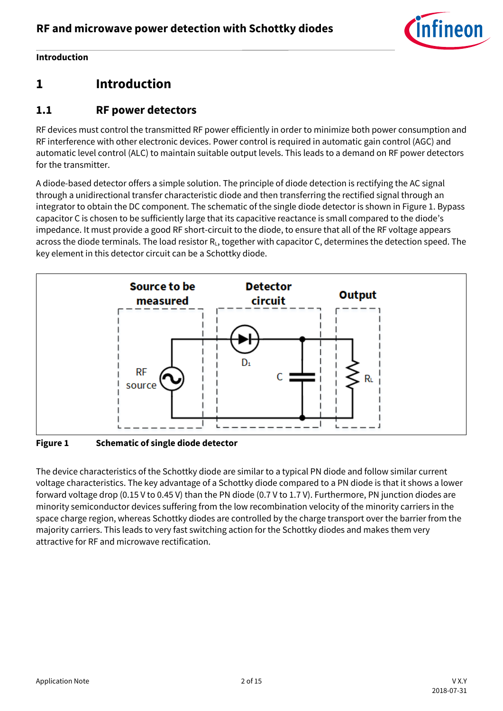

#### **Introduction**

## <span id="page-1-0"></span>**1 Introduction**

### <span id="page-1-1"></span>**1.1 RF power detectors**

RF devices must control the transmitted RF power efficiently in order to minimize both power consumption and RF interference with other electronic devices. Power control is required in automatic gain control (AGC) and automatic level control (ALC) to maintain suitable output levels. This leads to a demand on RF power detectors for the transmitter.

A diode-based detector offers a simple solution. The principle of diode detection is rectifying the AC signal through a unidirectional transfer characteristic diode and then transferring the rectified signal through an integrator to obtain the DC component. The schematic of the single diode detector is shown i[n Figure 1.](#page-1-2) Bypass capacitor C is chosen to be sufficiently large that its capacitive reactance is small compared to the diode's impedance. It must provide a good RF short-circuit to the diode, to ensure that all of the RF voltage appears across the diode terminals. The load resistor R<sub>L</sub>, together with capacitor C, determines the detection speed. The key element in this detector circuit can be a Schottky diode.



<span id="page-1-2"></span>**Figure 1 Schematic of single diode detector**

The device characteristics of the Schottky diode are similar to a typical PN diode and follow similar current voltage characteristics. The key advantage of a Schottky diode compared to a PN diode is that it shows a lower forward voltage drop (0.15 V to 0.45 V) than the PN diode (0.7 V to 1.7 V). Furthermore, PN junction diodes are minority semiconductor devices suffering from the low recombination velocity of the minority carriers in the space charge region, whereas Schottky diodes are controlled by the charge transport over the barrier from the majority carriers. This leads to very fast switching action for the Schottky diodes and makes them very attractive for RF and microwave rectification.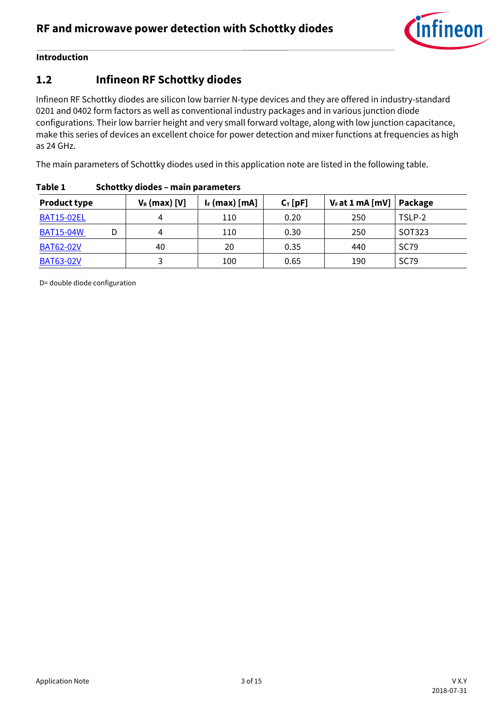

#### **Introduction**

### <span id="page-2-0"></span>**1.2 Infineon RF Schottky diodes**

Infineon RF Schottky diodes are silicon low barrier N-type devices and they are offered in industry-standard 0201 and 0402 form factors as well as conventional industry packages and in various junction diode configurations. Their low barrier height and very small forward voltage, along with low junction capacitance, make this series of devices an excellent choice for power detection and mixer functions at frequencies as high as 24 GHz.

The main parameters of Schottky diodes used in this application note are listed in the following table.

| <b>Product type</b> | $V_R$ (max) [V] | $I_F$ (max) [mA] | $C_T$ [pF] | $V_F$ at 1 mA [mV] | Package     |
|---------------------|-----------------|------------------|------------|--------------------|-------------|
| <b>BAT15-02EL</b>   |                 | 110              | 0.20       | 250                | TSLP-2      |
| <b>BAT15-04W</b>    | 4               | 110              | 0.30       | 250                | SOT323      |
| <b>BAT62-02V</b>    | 40              | 20               | 0.35       | 440                | <b>SC79</b> |
| <b>BAT63-02V</b>    |                 | 100              | 0.65       | 190                | <b>SC79</b> |

#### **Table 1 Schottky diodes – main parameters**

D= double diode configuration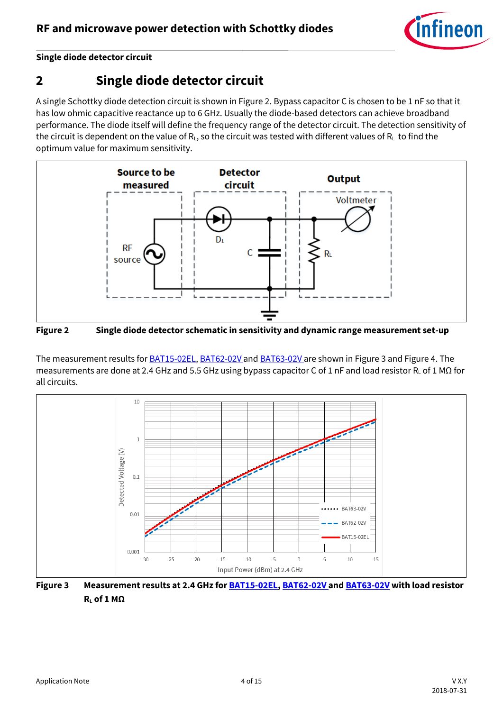

## <span id="page-3-0"></span>**2 Single diode detector circuit**

A single Schottky diode detection circuit is shown i[n Figure 2.](#page-3-1) Bypass capacitor C is chosen to be 1 nF so that it has low ohmic capacitive reactance up to 6 GHz. Usually the diode-based detectors can achieve broadband performance. The diode itself will define the frequency range of the detector circuit. The detection sensitivity of the circuit is dependent on the value of  $R_L$ , so the circuit was tested with different values of  $R_L$  to find the optimum value for maximum sensitivity.



<span id="page-3-1"></span>**Figure 2 Single diode detector schematic in sensitivity and dynamic range measurement set-up**

The measurement results for **BAT15-02EL, [BAT62-02V](https://www.infineon.com/cms/en/product/rf-wireless-control/rf-diode/rf-mixer-and-detector-schottky-diode/bat62/)** and **BAT63-02V** are shown in [Figure 3](#page-3-2) and [Figure 4.](#page-4-1) The measurements are done at 2.4 GHz and 5.5 GHz using bypass capacitor C of 1 nF and load resistor R<sub>L</sub> of 1 MΩ for all circuits.



<span id="page-3-2"></span>**Figure 3 Measurement results at 2.4 GHz fo[r BAT15-02EL,](https://www.infineon.com/cms/en/product/rf-wireless-control/rf-diode/rf-mixer-and-detector-schottky-diode/bat15-02el/) [BAT62-02V](https://www.infineon.com/cms/en/product/rf-wireless-control/rf-diode/rf-mixer-and-detector-schottky-diode/bat62/) an[d BAT63-02V](https://www.infineon.com/cms/en/product/rf-wireless-control/rf-diode/rf-mixer-and-detector-schottky-diode/bat63-02v/) with load resistor R<sup>L</sup> of 1 MΩ**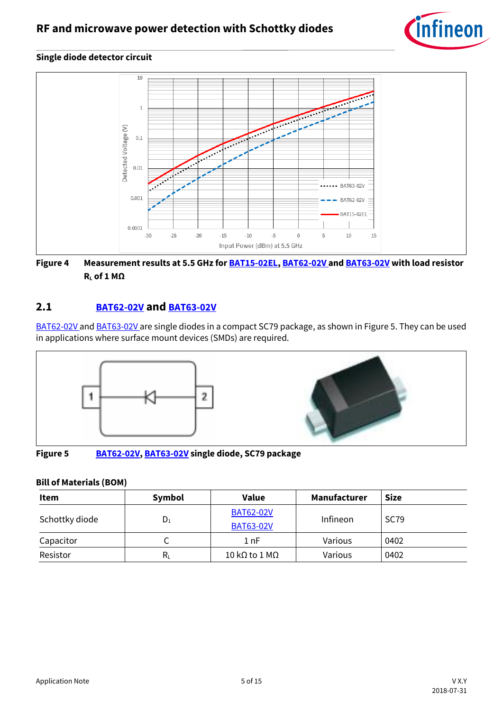



<span id="page-4-1"></span>**Figure 4 Measurement results at 5.5 GHz fo[r BAT15-02EL,](https://www.infineon.com/cms/en/product/rf-wireless-control/rf-diode/rf-mixer-and-detector-schottky-diode/bat15-02el/) [BAT62-02V](https://www.infineon.com/cms/en/product/rf-wireless-control/rf-diode/rf-mixer-and-detector-schottky-diode/bat62/) an[d BAT63-02V](https://www.infineon.com/cms/en/product/rf-wireless-control/rf-diode/rf-mixer-and-detector-schottky-diode/bat63-02v/) with load resistor R<sup>L</sup> of 1 MΩ**

#### <span id="page-4-0"></span>**2.1 [BAT62-02V](https://www.infineon.com/cms/en/product/rf-wireless-control/rf-diode/rf-mixer-and-detector-schottky-diode/bat62/) and [BAT63-02V](https://www.infineon.com/cms/en/product/rf-wireless-control/rf-diode/rf-mixer-and-detector-schottky-diode/bat63-02v/)**

[BAT62-02V](https://www.infineon.com/cms/en/product/rf-wireless-control/rf-diode/rf-mixer-and-detector-schottky-diode/bat62/) and [BAT63-02V](https://www.infineon.com/cms/en/product/rf-wireless-control/rf-diode/rf-mixer-and-detector-schottky-diode/bat63-02v/) are single diodes in a compact SC79 package, as shown in [Figure 5.](#page-4-2) They can be used in applications where surface mount devices (SMDs) are required.



<span id="page-4-2"></span>**Figure 5 [BAT62-02V,](https://www.infineon.com/cms/en/product/rf-wireless-control/rf-diode/rf-mixer-and-detector-schottky-diode/bat62/) [BAT63-02V](https://www.infineon.com/cms/en/product/rf-wireless-control/rf-diode/rf-mixer-and-detector-schottky-diode/bat63-02v/) single diode, SC79 package**

#### **Bill of Materials (BOM)**

| Item           | Symbol                    | Value            | Manufacturer | <b>Size</b> |
|----------------|---------------------------|------------------|--------------|-------------|
| Schottky diode | $D_1$                     | <b>BAT62-02V</b> | Infineon     | <b>SC79</b> |
|                |                           | <b>BAT63-02V</b> |              |             |
| Capacitor      | ◡                         | 1 nF             | Various      | 0402        |
| Resistor       | $\mathsf{R}_{\mathsf{L}}$ | 10 kΩ to 1 MΩ    | Various      | 0402        |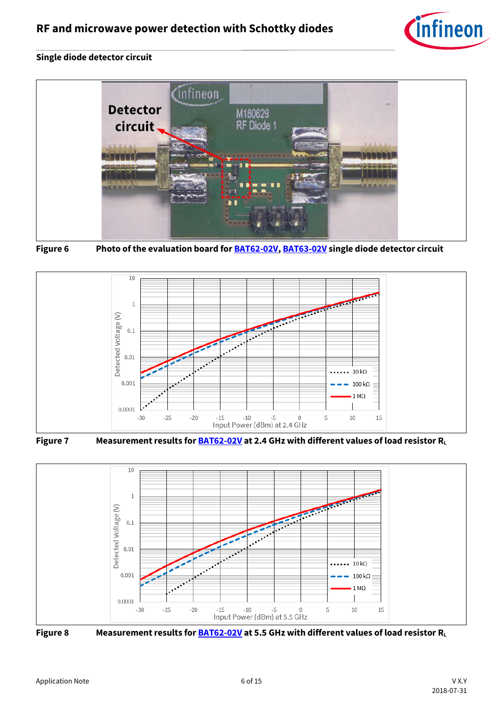





**Figure 6 Photo of the evaluation board fo[r BAT62-02V,](https://www.infineon.com/cms/en/product/rf-wireless-control/rf-diode/rf-mixer-and-detector-schottky-diode/bat62/) [BAT63-02V](https://www.infineon.com/cms/en/product/rf-wireless-control/rf-diode/rf-mixer-and-detector-schottky-diode/bat63-02v/) single diode detector circuit**









**Figure 8 Measurement results fo[r BAT62-02V](https://www.infineon.com/cms/en/product/rf-wireless-control/rf-diode/rf-mixer-and-detector-schottky-diode/bat62/) at 5.5 GHz with different values of load resistor R<sup>L</sup>**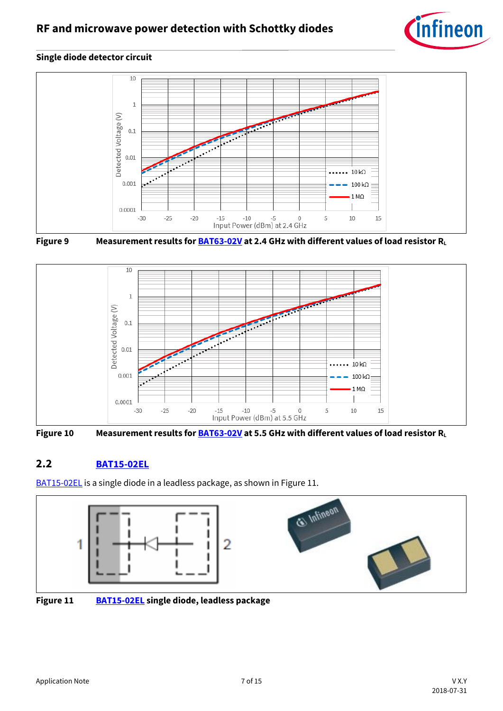







**Figure 10 Measurement results fo[r BAT63-02V](https://www.infineon.com/cms/en/product/rf-wireless-control/rf-diode/rf-mixer-and-detector-schottky-diode/bat63-02v/) at 5.5 GHz with different values of load resistor R<sup>L</sup>**

#### <span id="page-6-0"></span>**2.2 [BAT15-02EL](https://www.infineon.com/cms/en/product/rf-wireless-control/rf-diode/rf-mixer-and-detector-schottky-diode/bat15-02el/)**

[BAT15-02EL](https://www.infineon.com/cms/en/product/rf-wireless-control/rf-diode/rf-mixer-and-detector-schottky-diode/bat15-02el/) is a single diode in a leadless package, as shown i[n Figure 11.](#page-6-1)



<span id="page-6-1"></span>**Figure 11 [BAT15-02EL](https://www.infineon.com/cms/en/product/rf-wireless-control/rf-diode/rf-mixer-and-detector-schottky-diode/bat15-02el/) single diode, leadless package**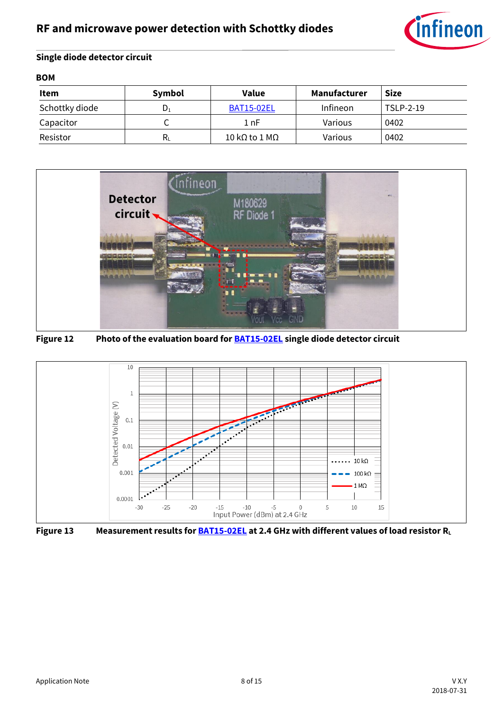

| <b>BOM</b>     |        |                   |              |             |  |
|----------------|--------|-------------------|--------------|-------------|--|
| Item           | Symbol | Value             | Manufacturer | <b>Size</b> |  |
| Schottky diode | D.     | <b>BAT15-02EL</b> | Infineon     | TSLP-2-19   |  |
| Capacitor      |        | 1 nF              | Various      | 0402        |  |
| Resistor       | $R_L$  | 10 kΩ to 1 MΩ     | Various      | 0402        |  |



**Figure 12 Photo of the evaluation board fo[r BAT15-02EL](https://www.infineon.com/cms/en/product/rf-wireless-control/rf-diode/rf-mixer-and-detector-schottky-diode/bat15-02el/) single diode detector circuit**



**Figure 13 Measurement results fo[r BAT15-02EL](https://www.infineon.com/cms/en/product/rf-wireless-control/rf-diode/rf-mixer-and-detector-schottky-diode/bat15-02el/) at 2.4 GHz with different values of load resistor R<sup>L</sup>**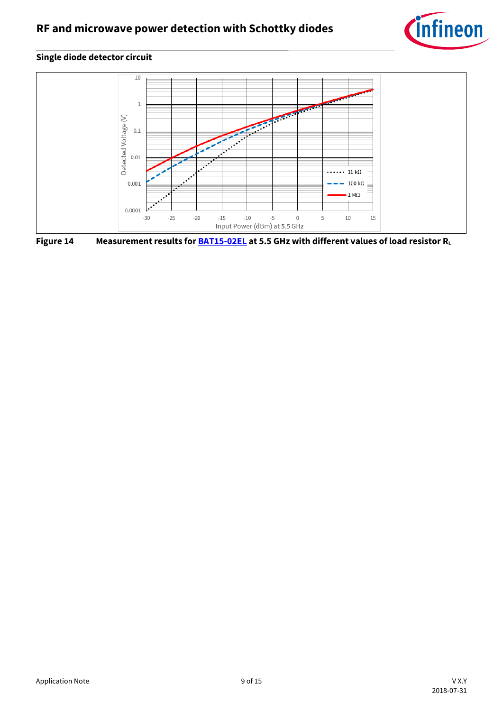



**Figure 14 Measurement results fo[r BAT15-02EL](https://www.infineon.com/cms/en/product/rf-wireless-control/rf-diode/rf-mixer-and-detector-schottky-diode/bat15-02el/) at 5.5 GHz with different values of load resistor R<sup>L</sup>**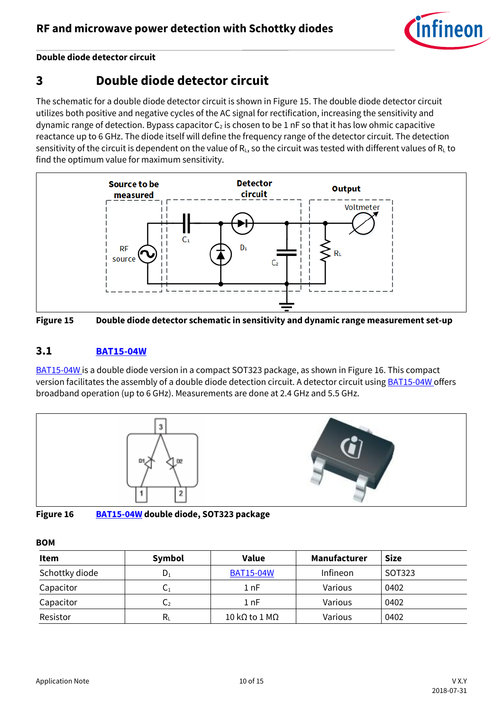

**Double diode detector circuit**

### <span id="page-9-0"></span>**3 Double diode detector circuit**

The schematic for a double diode detector circuit is shown i[n Figure 15.](#page-9-2) The double diode detector circuit utilizes both positive and negative cycles of the AC signal for rectification, increasing the sensitivity and dynamic range of detection. Bypass capacitor  $C_2$  is chosen to be 1 nF so that it has low ohmic capacitive reactance up to 6 GHz. The diode itself will define the frequency range of the detector circuit. The detection sensitivity of the circuit is dependent on the value of  $R_L$ , so the circuit was tested with different values of  $R_L$  to find the optimum value for maximum sensitivity.



<span id="page-9-2"></span>

#### <span id="page-9-1"></span>**3.1 [BAT15-04W](https://www.infineon.com/cms/en/product/rf-wireless-control/rf-diode/rf-mixer-and-detector-schottky-diode/bat15-04w/)**

[BAT15-04W](https://www.infineon.com/cms/en/product/rf-wireless-control/rf-diode/rf-mixer-and-detector-schottky-diode/bat15-04w/) is a double diode version in a compact SOT323 package, as shown in [Figure 16.](#page-9-3) This compact version facilitates the assembly of a double diode detection circuit. A detector circuit using **BAT15-04W** offers broadband operation (up to 6 GHz). Measurements are done at 2.4 GHz and 5.5 GHz.



<span id="page-9-3"></span>**Figure 16 [BAT15-04W](https://www.infineon.com/cms/en/product/rf-wireless-control/rf-diode/rf-mixer-and-detector-schottky-diode/bat15-04w/) double diode, SOT323 package**

#### **BOM**

| <b>Item</b>    | Symbol                    | Value            | Manufacturer | <b>Size</b> |
|----------------|---------------------------|------------------|--------------|-------------|
| Schottky diode | $D_1$                     | <b>BAT15-04W</b> | Infineon     | SOT323      |
| Capacitor      | U1                        | 1 nF             | Various      | 0402        |
| Capacitor      | $\mathsf{C}_2$            | 1 nF             | Various      | 0402        |
| Resistor       | $\mathsf{R}_{\mathsf{L}}$ | 10 kΩ to 1 MΩ    | Various      | 0402        |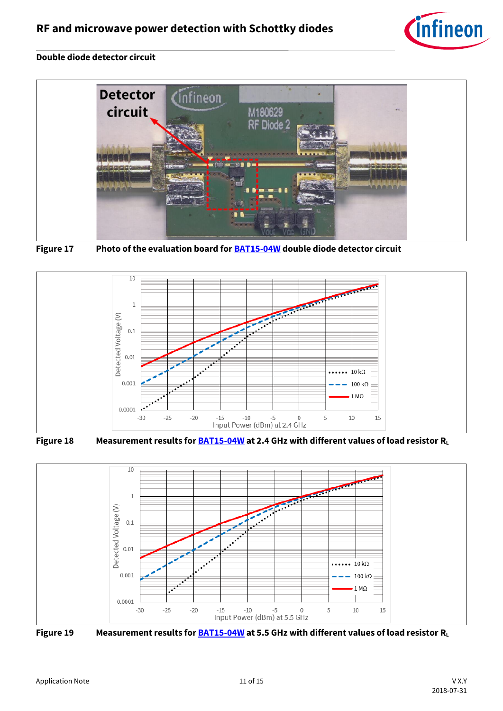

#### **Double diode detector circuit**



**Figure 17 Photo of the evaluation board fo[r BAT15-04W](https://www.infineon.com/cms/en/product/rf-wireless-control/rf-diode/rf-mixer-and-detector-schottky-diode/bat15-04w/) double diode detector circuit**



**Figure 18 Measurement results fo[r BAT15-04W](https://www.infineon.com/cms/en/product/rf-wireless-control/rf-diode/rf-mixer-and-detector-schottky-diode/bat15-04w/) at 2.4 GHz with different values of load resistor R<sup>L</sup>**



**Figure 19 Measurement results fo[r BAT15-04W](https://www.infineon.com/cms/en/product/rf-wireless-control/rf-diode/rf-mixer-and-detector-schottky-diode/bat15-04w/) at 5.5 GHz with different values of load resistor R<sup>L</sup>**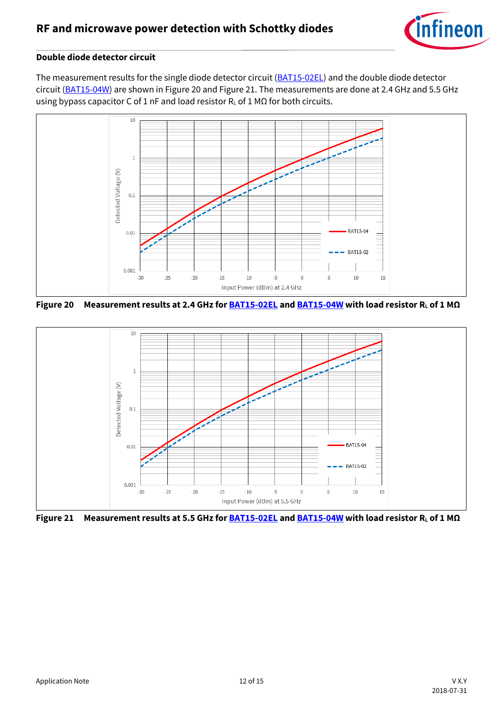

#### **Double diode detector circuit**

The measurement results for the single diode detector circuit [\(BAT15-02EL\)](https://www.infineon.com/cms/en/product/rf-wireless-control/rf-diode/rf-mixer-and-detector-schottky-diode/bat15-02el/) and the double diode detector circuit [\(BAT15-04W\)](https://www.infineon.com/cms/en/product/rf-wireless-control/rf-diode/rf-mixer-and-detector-schottky-diode/bat15-04w/) are shown i[n Figure 20](#page-11-0) and [Figure 21.](#page-11-1) The measurements are done at 2.4 GHz and 5.5 GHz using bypass capacitor C of 1 nF and load resistor R<sub>L</sub> of 1 MΩ for both circuits.



<span id="page-11-0"></span>**Figure 20 Measurement results at 2.4 GHz fo[r BAT15-02EL](https://www.infineon.com/cms/en/product/rf-wireless-control/rf-diode/rf-mixer-and-detector-schottky-diode/bat15-02el/) an[d BAT15-04W](https://www.infineon.com/cms/en/product/rf-wireless-control/rf-diode/rf-mixer-and-detector-schottky-diode/bat15-04w/) with load resistor R<sup>L</sup> of 1 MΩ**



<span id="page-11-1"></span>**Figure 21 Measurement results at 5.5 GHz fo[r BAT15-02EL](https://www.infineon.com/cms/en/product/rf-wireless-control/rf-diode/rf-mixer-and-detector-schottky-diode/bat15-02el/) an[d BAT15-04W](https://www.infineon.com/cms/en/product/rf-wireless-control/rf-diode/rf-mixer-and-detector-schottky-diode/bat15-04w/) with load resistor R<sup>L</sup> of 1 MΩ**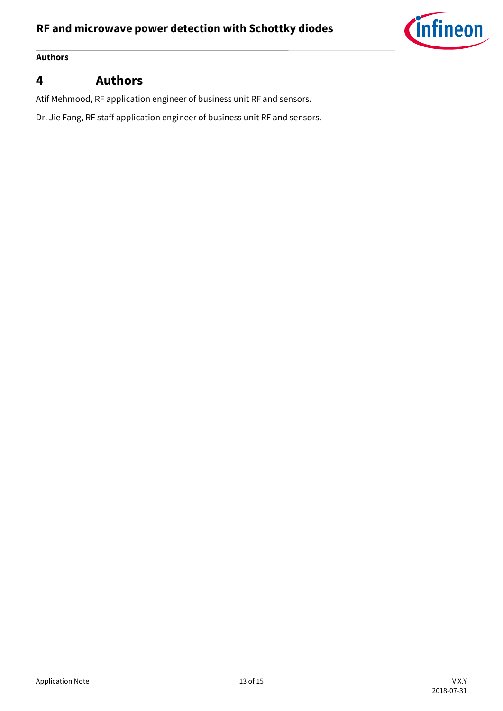

#### **Authors**

### <span id="page-12-0"></span>**4 Authors**

Atif Mehmood, RF application engineer of business unit RF and sensors.

Dr. Jie Fang, RF staff application engineer of business unit RF and sensors.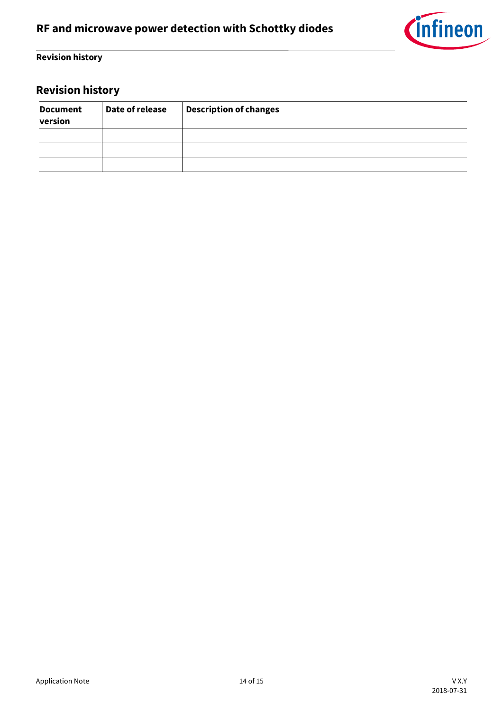

#### **Revision history**

## <span id="page-13-0"></span>**Revision history**

| <b>Document</b><br>version | Date of release | <b>Description of changes</b> |
|----------------------------|-----------------|-------------------------------|
|                            |                 |                               |
|                            |                 |                               |
|                            |                 |                               |